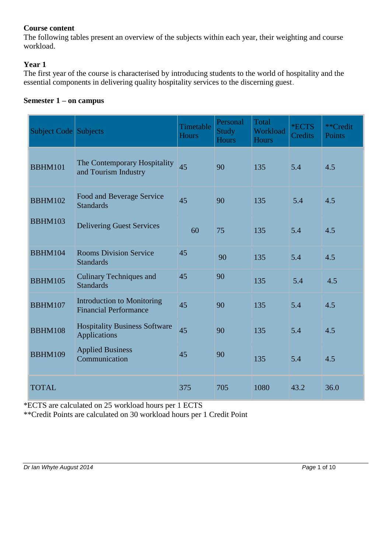#### **Course content**

The following tables present an overview of the subjects within each year, their weighting and course workload.

### **Year 1**

The first year of the course is characterised by introducing students to the world of hospitality and the essential components in delivering quality hospitality services to the discerning guest.

#### **Semester 1 – on campus**

| <b>Subject Code Subjects</b> |                                                                   | Timetable<br><b>Hours</b> | Personal<br><b>Study</b><br><b>Hours</b> | Total<br>Workload<br><b>Hours</b> | <b>*ECTS</b><br>Credits | **Credit<br>Points |
|------------------------------|-------------------------------------------------------------------|---------------------------|------------------------------------------|-----------------------------------|-------------------------|--------------------|
| <b>BBHM101</b>               | The Contemporary Hospitality<br>and Tourism Industry              | 45                        | 90                                       | 135                               | 5.4                     | 4.5                |
| <b>BBHM102</b>               | Food and Beverage Service<br><b>Standards</b>                     | 45                        | 90                                       | 135                               | 5.4                     | 4.5                |
| <b>BBHM103</b>               | <b>Delivering Guest Services</b>                                  | 60                        | 75                                       | 135                               | 5.4                     | 4.5                |
| <b>BBHM104</b>               | <b>Rooms Division Service</b><br><b>Standards</b>                 | 45                        | 90                                       | 135                               | 5.4                     | 4.5                |
| <b>BBHM105</b>               | <b>Culinary Techniques and</b><br><b>Standards</b>                | 45                        | 90                                       | 135                               | 5.4                     | 4.5                |
| <b>BBHM107</b>               | <b>Introduction to Monitoring</b><br><b>Financial Performance</b> | 45                        | 90                                       | 135                               | 5.4                     | 4.5                |
| <b>BBHM108</b>               | <b>Hospitality Business Software</b><br>Applications              | 45                        | 90                                       | 135                               | 5.4                     | 4.5                |
| <b>BBHM109</b>               | <b>Applied Business</b><br>Communication                          | 45                        | 90                                       | 135                               | 5.4                     | 4.5                |
| <b>TOTAL</b>                 |                                                                   | 375                       | 705                                      | 1080                              | 43.2                    | 36.0               |

\*ECTS are calculated on 25 workload hours per 1 ECTS

\*\*Credit Points are calculated on 30 workload hours per 1 Credit Point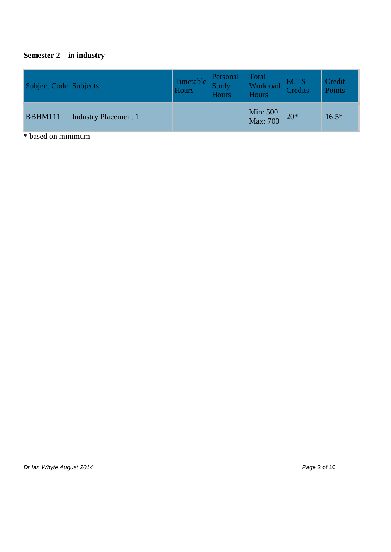| Subject Code Subjects |                             | Timetable<br>Hours | Personal<br>Study<br><b>Hours</b> | Total<br>Workload<br>Hours | <b>ECTS</b><br>Credits | Credit<br>Points |
|-----------------------|-----------------------------|--------------------|-----------------------------------|----------------------------|------------------------|------------------|
| BBHM111               | <b>Industry Placement 1</b> |                    |                                   | Min: 500<br>Max: 700       | $20*$                  | $16.5*$          |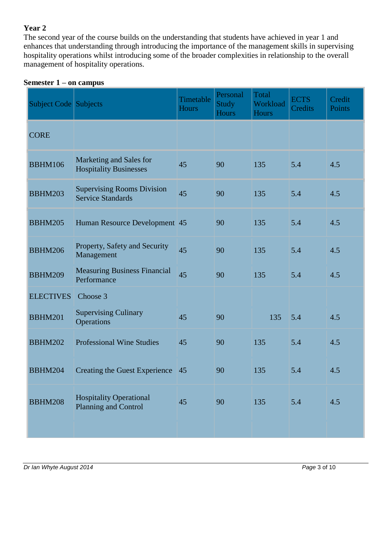## **Year 2**

The second year of the course builds on the understanding that students have achieved in year 1 and enhances that understanding through introducing the importance of the management skills in supervising hospitality operations whilst introducing some of the broader complexities in relationship to the overall management of hospitality operations.

| Subject Code Subjects |                                                               | Timetable<br><b>Hours</b> | Personal<br><b>Study</b><br><b>Hours</b> | Total<br>Workload<br><b>Hours</b> | <b>ECTS</b><br>Credits | Credit<br>Points |
|-----------------------|---------------------------------------------------------------|---------------------------|------------------------------------------|-----------------------------------|------------------------|------------------|
| <b>CORE</b>           |                                                               |                           |                                          |                                   |                        |                  |
| <b>BBHM106</b>        | Marketing and Sales for<br><b>Hospitality Businesses</b>      | 45                        | 90                                       | 135                               | 5.4                    | 4.5              |
| <b>BBHM203</b>        | <b>Supervising Rooms Division</b><br><b>Service Standards</b> | 45                        | 90                                       | 135                               | 5.4                    | 4.5              |
| <b>BBHM205</b>        | Human Resource Development 45                                 |                           | 90                                       | 135                               | 5.4                    | 4.5              |
| <b>BBHM206</b>        | Property, Safety and Security<br>Management                   | 45                        | 90                                       | 135                               | 5.4                    | 4.5              |
| <b>BBHM209</b>        | <b>Measuring Business Financial</b><br>Performance            | 45                        | 90                                       | 135                               | 5.4                    | 4.5              |
| <b>ELECTIVES</b>      | Choose 3                                                      |                           |                                          |                                   |                        |                  |
| <b>BBHM201</b>        | <b>Supervising Culinary</b><br>Operations                     | 45                        | 90                                       | 135                               | 5.4                    | 4.5              |
| <b>BBHM202</b>        | <b>Professional Wine Studies</b>                              | 45                        | 90                                       | 135                               | 5.4                    | 4.5              |
| <b>BBHM204</b>        | Creating the Guest Experience 45                              |                           | 90                                       | 135                               | 5.4                    | 4.5              |
| <b>BBHM208</b>        | <b>Hospitality Operational</b><br>Planning and Control        | 45                        | 90                                       | 135                               | 5.4                    | 4.5              |
|                       |                                                               |                           |                                          |                                   |                        |                  |

### **Semester 1 – on campus**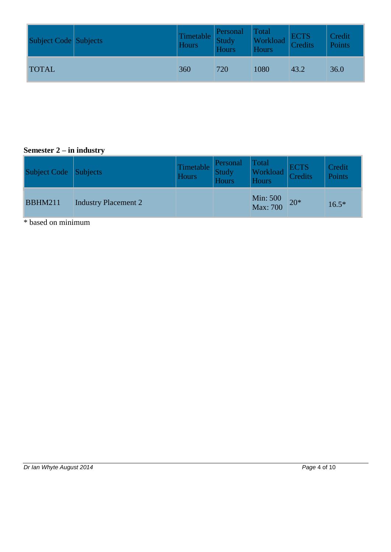| Subject Code Subjects | Timetable  <br>Hours | Personal<br><b>Study</b><br><b>Hours</b> | Total<br>Workload<br>Hours | ECTS<br>Credits | Credit<br>Points |
|-----------------------|----------------------|------------------------------------------|----------------------------|-----------------|------------------|
| <b>TOTAL</b>          | 360                  | 720                                      | 1080                       | 43.2            | 36.0             |

| Subject Code Subjects |                             | Timetable<br><b>Hours</b> | Personal<br>Study<br><b>Hours</b> | Total<br>Workload<br><b>Hours</b> | <b>ECTS</b><br>Credits | Credit<br>Points |
|-----------------------|-----------------------------|---------------------------|-----------------------------------|-----------------------------------|------------------------|------------------|
| <b>BBHM211</b>        | <b>Industry Placement 2</b> |                           |                                   | Min: 500<br>Max: 700              | $20*$                  | $16.5*$          |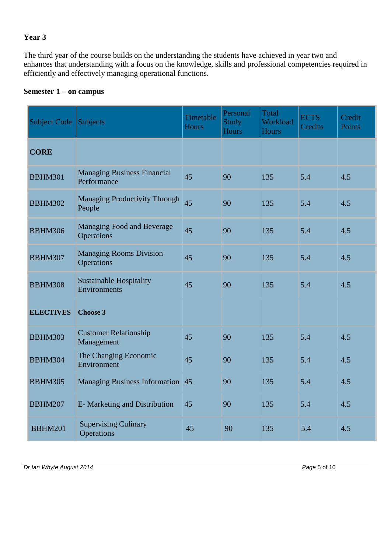## **Year 3**

The third year of the course builds on the understanding the students have achieved in year two and enhances that understanding with a focus on the knowledge, skills and professional competencies required in efficiently and effectively managing operational functions.

| Semester $1 -$ on campus |  |  |
|--------------------------|--|--|
|--------------------------|--|--|

| <b>Subject Code</b> | Subjects                                            | Timetable<br><b>Hours</b> | Personal<br><b>Study</b><br><b>Hours</b> | Total<br>Workload<br><b>Hours</b> | <b>ECTS</b><br>Credits | Credit<br>Points |
|---------------------|-----------------------------------------------------|---------------------------|------------------------------------------|-----------------------------------|------------------------|------------------|
| <b>CORE</b>         |                                                     |                           |                                          |                                   |                        |                  |
| <b>BBHM301</b>      | <b>Managing Business Financial</b><br>Performance   | 45                        | 90                                       | 135                               | 5.4                    | 4.5              |
| <b>BBHM302</b>      | <b>Managing Productivity Through</b><br>People      | 45                        | 90                                       | 135                               | 5.4                    | 4.5              |
| <b>BBHM306</b>      | Managing Food and Beverage<br><b>Operations</b>     | 45                        | 90                                       | 135                               | 5.4                    | 4.5              |
| <b>BBHM307</b>      | <b>Managing Rooms Division</b><br><b>Operations</b> | 45                        | 90                                       | 135                               | 5.4                    | 4.5              |
| <b>BBHM308</b>      | <b>Sustainable Hospitality</b><br>Environments      | 45                        | 90                                       | 135                               | 5.4                    | 4.5              |
| <b>ELECTIVES</b>    | <b>Choose 3</b>                                     |                           |                                          |                                   |                        |                  |
| <b>BBHM303</b>      | <b>Customer Relationship</b><br>Management          | 45                        | 90                                       | 135                               | 5.4                    | 4.5              |
| <b>BBHM304</b>      | The Changing Economic<br>Environment                | 45                        | 90                                       | 135                               | 5.4                    | 4.5              |
| <b>BBHM305</b>      | Managing Business Information 45                    |                           | 90                                       | 135                               | 5.4                    | 4.5              |
| <b>BBHM207</b>      | E-Marketing and Distribution                        | 45                        | 90                                       | 135                               | 5.4                    | 4.5              |
| <b>BBHM201</b>      | <b>Supervising Culinary</b><br><b>Operations</b>    | 45                        | 90                                       | 135                               | 5.4                    | 4.5              |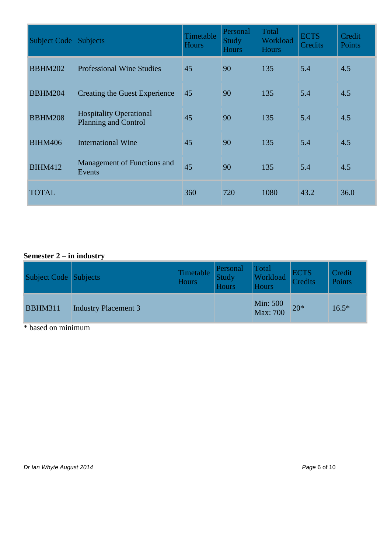| <b>Subject Code</b> | <b>Subjects</b>                                               | Timetable<br><b>Hours</b> | Personal<br><b>Study</b><br><b>Hours</b> | Total<br>Workload<br><b>Hours</b> | <b>ECTS</b><br>Credits | Credit<br>Points |
|---------------------|---------------------------------------------------------------|---------------------------|------------------------------------------|-----------------------------------|------------------------|------------------|
| <b>BBHM202</b>      | <b>Professional Wine Studies</b>                              | 45                        | 90                                       | 135                               | 5.4                    | 4.5              |
| <b>BBHM204</b>      | <b>Creating the Guest Experience</b>                          | 45                        | 90                                       | 135                               | 5.4                    | 4.5              |
| <b>BBHM208</b>      | <b>Hospitality Operational</b><br><b>Planning and Control</b> | 45                        | 90                                       | 135                               | 5.4                    | 4.5              |
| <b>BIHM406</b>      | International Wine                                            | 45                        | 90                                       | 135                               | 5.4                    | 4.5              |
| <b>BIHM412</b>      | Management of Functions and<br>Events                         | 45                        | 90                                       | 135                               | 5.4                    | 4.5              |
| <b>TOTAL</b>        |                                                               | 360                       | 720                                      | 1080                              | 43.2                   | 36.0             |

| Subject Code   Subjects |                             | Timetable<br>Hours | Personal<br>Study<br>Hours | Total<br>Workload<br>Hours | <b>ECTS</b><br><b>Credits</b> | Credit<br>Points |
|-------------------------|-----------------------------|--------------------|----------------------------|----------------------------|-------------------------------|------------------|
| <b>BBHM311</b>          | <b>Industry Placement 3</b> |                    |                            | Min: 500<br>Max: 700       | $20*$                         | $16.5*$          |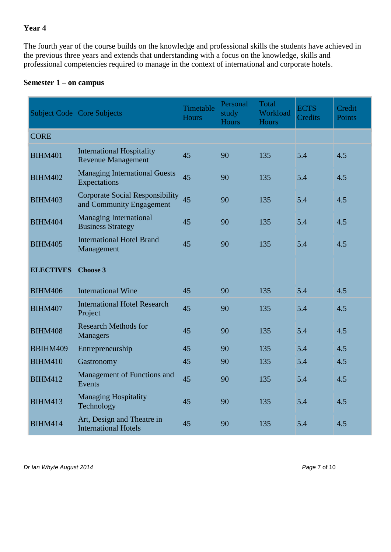#### **Year 4**

The fourth year of the course builds on the knowledge and professional skills the students have achieved in the previous three years and extends that understanding with a focus on the knowledge, skills and professional competencies required to manage in the context of international and corporate hotels.

### **Semester 1 – on campus**

| <b>Subject Code</b> | <b>Core Subjects</b>                                               | Timetable<br><b>Hours</b> | Personal<br>study<br><b>Hours</b> | Total<br>Workload<br><b>Hours</b> | <b>ECTS</b><br>Credits | Credit<br>Points |
|---------------------|--------------------------------------------------------------------|---------------------------|-----------------------------------|-----------------------------------|------------------------|------------------|
| <b>CORE</b>         |                                                                    |                           |                                   |                                   |                        |                  |
| <b>BIHM401</b>      | <b>International Hospitality</b><br><b>Revenue Management</b>      | 45                        | 90                                | 135                               | 5.4                    | 4.5              |
| <b>BIHM402</b>      | <b>Managing International Guests</b><br>Expectations               | 45                        | 90                                | 135                               | 5.4                    | 4.5              |
| <b>BIHM403</b>      | <b>Corporate Social Responsibility</b><br>and Community Engagement | 45                        | 90                                | 135                               | 5.4                    | 4.5              |
| <b>BIHM404</b>      | <b>Managing International</b><br><b>Business Strategy</b>          | 45                        | 90                                | 135                               | 5.4                    | 4.5              |
| <b>BIHM405</b>      | <b>International Hotel Brand</b><br>Management                     | 45                        | 90                                | 135                               | 5.4                    | 4.5              |
| <b>ELECTIVES</b>    | <b>Choose 3</b>                                                    |                           |                                   |                                   |                        |                  |
| <b>BIHM406</b>      | <b>International Wine</b>                                          | 45                        | 90                                | 135                               | 5.4                    | 4.5              |
| <b>BIHM407</b>      | <b>International Hotel Research</b><br>Project                     | 45                        | 90                                | 135                               | 5.4                    | 4.5              |
| <b>BIHM408</b>      | <b>Research Methods for</b><br><b>Managers</b>                     | 45                        | 90                                | 135                               | 5.4                    | 4.5              |
| BBIHM409            | Entrepreneurship                                                   | 45                        | 90                                | 135                               | 5.4                    | 4.5              |
| <b>BIHM410</b>      | Gastronomy                                                         | 45                        | 90                                | 135                               | 5.4                    | 4.5              |
| <b>BIHM412</b>      | Management of Functions and<br>Events                              | 45                        | 90                                | 135                               | 5.4                    | 4.5              |
| <b>BIHM413</b>      | <b>Managing Hospitality</b><br>Technology                          | 45                        | 90                                | 135                               | 5.4                    | 4.5              |
| <b>BIHM414</b>      | Art, Design and Theatre in<br><b>International Hotels</b>          | 45                        | 90                                | 135                               | 5.4                    | 4.5              |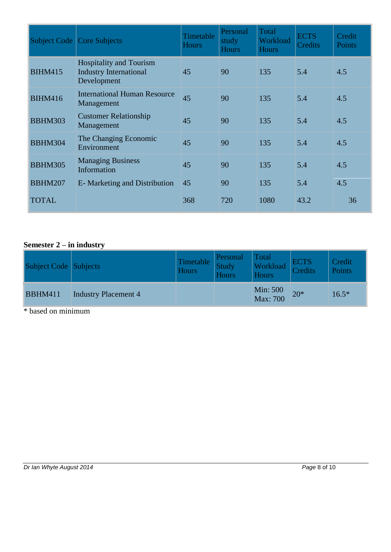| Subject Code   | <b>Core Subjects</b>                                                           | Timetable<br><b>Hours</b> | Personal<br>study<br><b>Hours</b> | Total<br>Workload<br><b>Hours</b> | <b>ECTS</b><br><b>Credits</b> | Credit<br>Points |
|----------------|--------------------------------------------------------------------------------|---------------------------|-----------------------------------|-----------------------------------|-------------------------------|------------------|
| <b>BIHM415</b> | <b>Hospitality and Tourism</b><br><b>Industry International</b><br>Development | 45                        | 90                                | 135                               | 5.4                           | 4.5              |
| <b>BIHM416</b> | <b>International Human Resource</b><br>Management                              | 45                        | 90                                | 135                               | 5.4                           | 4.5              |
| <b>BBHM303</b> | <b>Customer Relationship</b><br>Management                                     | 45                        | 90                                | 135                               | 5.4                           | 4.5              |
| <b>BBHM304</b> | The Changing Economic<br>Environment                                           | 45                        | 90                                | 135                               | 5.4                           | 4.5              |
| <b>BBHM305</b> | <b>Managing Business</b><br>Information                                        | 45                        | 90                                | 135                               | 5.4                           | 4.5              |
| <b>BBHM207</b> | E-Marketing and Distribution                                                   | 45                        | 90                                | 135                               | 5.4                           | 4.5              |
| <b>TOTAL</b>   |                                                                                | 368                       | 720                               | 1080                              | 43.2                          | 36               |

| Subject Code Subjects |                             | Timetable<br>Hours | Personal<br>Study<br><b>Hours</b> | Total<br>Workload<br><b>Hours</b> | <b>ECTS</b><br>Credits | Credit<br>Points |
|-----------------------|-----------------------------|--------------------|-----------------------------------|-----------------------------------|------------------------|------------------|
| <b>BBHM411</b>        | <b>Industry Placement 4</b> |                    |                                   | Min: 500<br>Max: 700              | $20*$                  | $16.5*$          |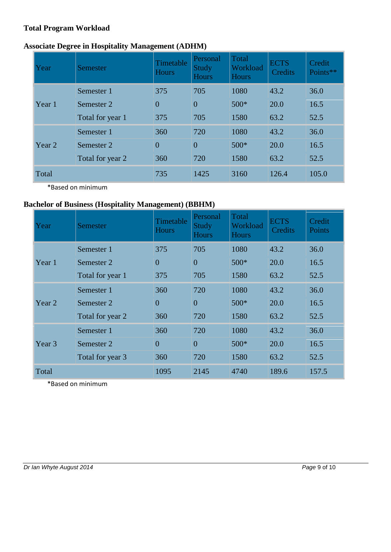## **Total Program Workload**

|  |  |  |  |  |  | <b>Associate Degree in Hospitality Management (ADHM)</b> |  |
|--|--|--|--|--|--|----------------------------------------------------------|--|
|--|--|--|--|--|--|----------------------------------------------------------|--|

| Year   | Semester         | Timetable<br><b>Hours</b> | Personal<br><b>Study</b><br><b>Hours</b> | Total<br>Workload<br><b>Hours</b> | <b>ECTS</b><br>Credits | Credit<br>Points** |
|--------|------------------|---------------------------|------------------------------------------|-----------------------------------|------------------------|--------------------|
| Year 1 | Semester 1       | 375                       | 705                                      | 1080                              | 43.2                   | 36.0               |
|        | Semester 2       | $\overline{0}$            | $\overline{0}$                           | $500*$                            | 20.0                   | 16.5               |
|        | Total for year 1 | 375                       | 705                                      | 1580                              | 63.2                   | 52.5               |
|        | Semester 1       | 360                       | 720                                      | 1080                              | 43.2                   | 36.0               |
| Year 2 | Semester 2       | $\overline{0}$            | $\overline{0}$                           | $500*$                            | 20.0                   | 16.5               |
|        | Total for year 2 | 360                       | 720                                      | 1580                              | 63.2                   | 52.5               |
| Total  |                  | 735                       | 1425                                     | 3160                              | 126.4                  | 105.0              |

\*Based on minimum

## **Bachelor of Business (Hospitality Management) (BBHM)**

| Year   | Semester         | Timetable<br><b>Hours</b> | Personal<br><b>Study</b><br><b>Hours</b> | Total<br>Workload<br><b>Hours</b> | <b>ECTS</b><br>Credits | Credit<br><b>Points</b> |
|--------|------------------|---------------------------|------------------------------------------|-----------------------------------|------------------------|-------------------------|
| Year 1 | Semester 1       | 375                       | 705                                      | 1080                              | 43.2                   | 36.0                    |
|        | Semester 2       | $\overline{0}$            | $\overline{0}$                           | $500*$                            | 20.0                   | 16.5                    |
|        | Total for year 1 | 375                       | 705                                      | 1580                              | 63.2                   | 52.5                    |
| Year 2 | Semester 1       | 360                       | 720                                      | 1080                              | 43.2                   | 36.0                    |
|        | Semester 2       | $\theta$                  | $\Omega$                                 | $500*$                            | 20.0                   | 16.5                    |
|        | Total for year 2 | 360                       | 720                                      | 1580                              | 63.2                   | 52.5                    |
|        | Semester 1       | 360                       | 720                                      | 1080                              | 43.2                   | 36.0                    |
| Year 3 | Semester 2       | $\overline{0}$            | $\theta$                                 | $500*$                            | 20.0                   | 16.5                    |
|        | Total for year 3 | 360                       | 720                                      | 1580                              | 63.2                   | 52.5                    |
| Total  |                  | 1095                      | 2145                                     | 4740                              | 189.6                  | 157.5                   |